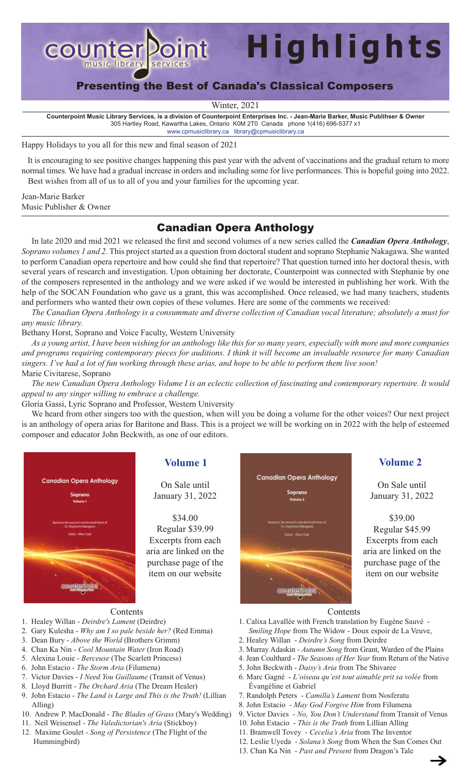

# Presenting the Best of Canada's Classical Composers

**Highlights**

Winter, 2021

**Counterpoint Music Library Services, is a division of Counterpoint Enterprises Inc. - Jean-Marie Barker, Music Publihser & Owner** 305 Hartley Road, Kawartha Lakes, Ontario K0M 2T0 Canada phone 1(416) 696-5377 x1 [www.cpmusiclibrary.ca](https://www.cpmusiclibrary.ca) library@cpmusiclibrary.ca

Happy Holidays to you all for this new and final season of 2021

 It is encouraging to see positive changes happening this past year with the advent of vaccinations and the gradual return to more normal times. We have had a gradual increase in orders and including some for live performances. This is hopeful going into 2022. Best wishes from all of us to all of you and your families for the upcoming year.

Jean-Marie Barker Music Publisher & Owner

## Canadian Opera Anthology

In late 2020 and mid 2021 we released the first and second volumes of a new series called the *Canadian Opera Anthology*, *Soprano volumes 1 and 2*. This project started as a question from doctoral student and soprano Stephanie Nakagawa. She wanted to perform Canadian opera repertoire and how could she find that repertoire? That question turned into her doctoral thesis, with several years of research and investigation. Upon obtaining her doctorate, Counterpoint was connected with Stephanie by one of the composers represented in the anthology and we were asked if we would be interested in publishing her work. With the help of the SOCAN Foundation who gave us a grant, this was accomplished. Once released, we had many teachers, students and performers who wanted their own copies of these volumes. Here are some of the comments we received:

*The Canadian Opera Anthology is a consummate and diverse collection of Canadian vocal literature; absolutely a must for any music library.*

Bethany Horst, Soprano and Voice Faculty, Western University

*As a young artist, I have been wishing for an anthology like this for so many years, especially with more and more companies and programs requiring contemporary pieces for auditions. I think it will become an invaluable resource for many Canadian singers. I've had a lot of fun working through these arias, and hope to be able to perform them live soon!* Marie Civitarese, Soprano

*The new Canadian Opera Anthology Volume I is an eclectic collection of fascinating and contemporary repertoire. It would appeal to any singer willing to embrace a challenge.*

Gloria Gassi, Lyric Soprano and Professor, Western University

We heard from other singers too with the question, when will you be doing a volume for the other voices? Our next project is an anthology of opera arias for Baritone and Bass. This is a project we will be working on in 2022 with the help of esteemed composer and educator John Beckwith, as one of our editors.



On Sale until January 31, 2022

\$34.00 Regular \$39.99 Excerpts from each aria are linked on the purchase page of the item on our website



On Sale until January 31, 2022

\$39.00 Regular \$45.99 Excerpts from each aria are linked on the purchase page of the item on our website

### Contents

- 1. Healey Willan *Deirdre's Lament* (Deirdre)
- 2. Gary Kulesha *Why am I so pale beside her?* (Red Emma)
- 3. Dean Bury *Above the World* (Brothers Grimm)
- 4. Chan Ka Nin *Cool Mountain Water* (Iron Road)
- 5. Alexina Louie *Berceuse* (The Scarlett Princess)
- 6. John Estacio *The Storm Aria* (Filumena)
- 7. Victor Davies *I Need You Guillaume* (Transit of Venus)
- 8. Lloyd Burritt *The Orchard Aria* (The Dream Healer)
- 9. John Estacio *The Land is Large and This is the Truth!* (Lillian Alling)
- 10. Andrew P. MacDonald *The Blades of Grass* (Mary's Wedding)
- 11. Neil Weisensel *The Valedictorian's Aria* (Stickboy)
- 12. Maxime Goulet *Song of Persistence* (The Flight of the Hummingbird)

Contents

- 1. Calixa Lavallée with French translation by Eugène Sauvé *Smiling Hope* from The Widow - Doux espoir de La Veuve,
- 2. Healey Willan *Deirdre's Song* from Deirdre
- 3. Murray Adaskin *Autumn Song* from Grant, Warden of the Plains
- 4. Jean Coulthard *The Seasons of Her Year* from Return of the Native
- 5. John Beckwith *Daisy's Aria* from The Shivaree
- 6. Marc Gagné *L'oiseau qu'est tout aimable prit sa volée* from Évangéline et Gabriel
- 7. Randolph Peters *Camilla's Lament* from Nosferatu
- 8. John Estacio *May God Forgive Him* from Filumena
- 9. Victor Davies *No, You Don't Understand* from Transit of Venus
- 10. John Estacio - *This is the Truth* from Lillian Alling
- 11. Bramwell Tovey *Cecelia's Aria* from The Inventor
- 12. Leslie Uyeda *Solana's Song* from When the Sun Comes Out
- 13. Chan Ka Nin *Past and Present* from Dragon's Tale